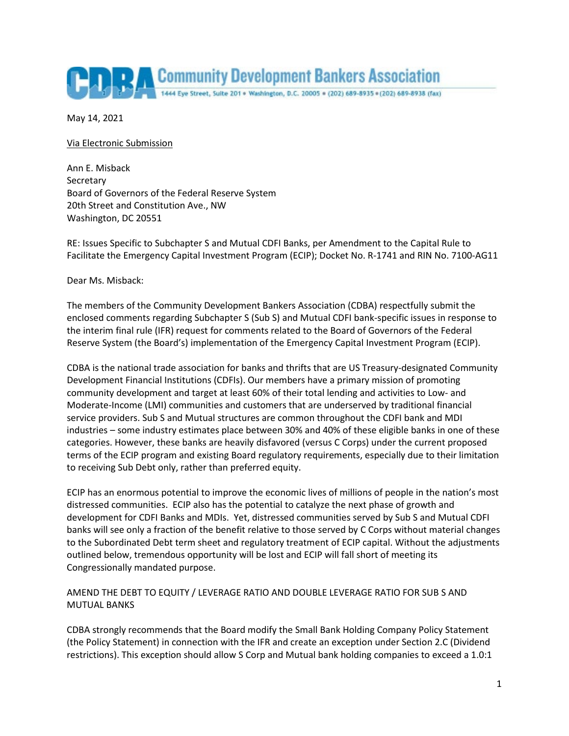

May 14, 2021

Via Electronic Submission

Ann E. Misback **Secretary** Board of Governors of the Federal Reserve System 20th Street and Constitution Ave., NW Washington, DC 20551

RE: Issues Specific to Subchapter S and Mutual CDFI Banks, per Amendment to the Capital Rule to Facilitate the Emergency Capital Investment Program (ECIP); Docket No. R-1741 and RIN No. 7100-AG11

Dear Ms. Misback:

The members of the Community Development Bankers Association (CDBA) respectfully submit the enclosed comments regarding Subchapter S (Sub S) and Mutual CDFI bank-specific issues in response to the interim final rule (IFR) request for comments related to the Board of Governors of the Federal Reserve System (the Board's) implementation of the Emergency Capital Investment Program (ECIP).

CDBA is the national trade association for banks and thrifts that are US Treasury-designated Community Development Financial Institutions (CDFIs). Our members have a primary mission of promoting community development and target at least 60% of their total lending and activities to Low- and Moderate-Income (LMI) communities and customers that are underserved by traditional financial service providers. Sub S and Mutual structures are common throughout the CDFI bank and MDI industries – some industry estimates place between 30% and 40% of these eligible banks in one of these categories. However, these banks are heavily disfavored (versus C Corps) under the current proposed terms of the ECIP program and existing Board regulatory requirements, especially due to their limitation to receiving Sub Debt only, rather than preferred equity.

ECIP has an enormous potential to improve the economic lives of millions of people in the nation's most distressed communities. ECIP also has the potential to catalyze the next phase of growth and development for CDFI Banks and MDIs. Yet, distressed communities served by Sub S and Mutual CDFI banks will see only a fraction of the benefit relative to those served by C Corps without material changes to the Subordinated Debt term sheet and regulatory treatment of ECIP capital. Without the adjustments outlined below, tremendous opportunity will be lost and ECIP will fall short of meeting its Congressionally mandated purpose.

## AMEND THE DEBT TO EQUITY / LEVERAGE RATIO AND DOUBLE LEVERAGE RATIO FOR SUB S AND MUTUAL BANKS

CDBA strongly recommends that the Board modify the Small Bank Holding Company Policy Statement (the Policy Statement) in connection with the IFR and create an exception under Section 2.C (Dividend restrictions). This exception should allow S Corp and Mutual bank holding companies to exceed a 1.0:1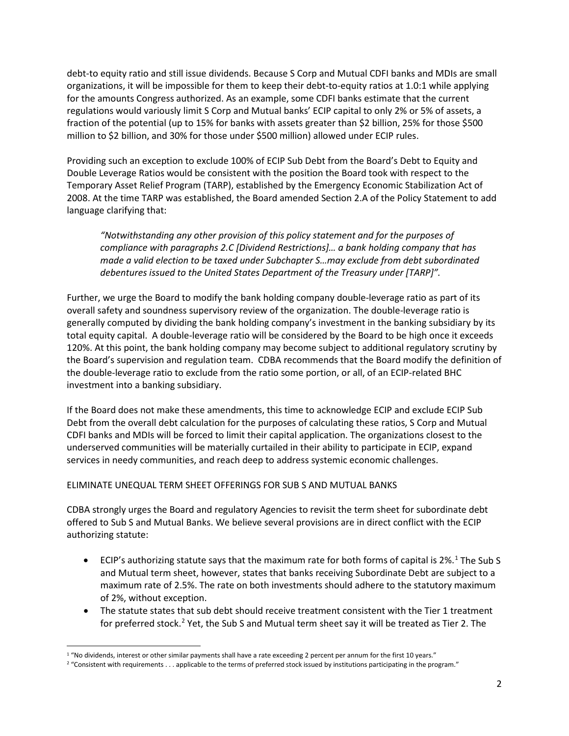debt-to equity ratio and still issue dividends. Because S Corp and Mutual CDFI banks and MDIs are small organizations, it will be impossible for them to keep their debt-to-equity ratios at 1.0:1 while applying for the amounts Congress authorized. As an example, some CDFI banks estimate that the current regulations would variously limit S Corp and Mutual banks' ECIP capital to only 2% or 5% of assets, a fraction of the potential (up to 15% for banks with assets greater than \$2 billion, 25% for those \$500 million to \$2 billion, and 30% for those under \$500 million) allowed under ECIP rules.

Providing such an exception to exclude 100% of ECIP Sub Debt from the Board's Debt to Equity and Double Leverage Ratios would be consistent with the position the Board took with respect to the Temporary Asset Relief Program (TARP), established by the Emergency Economic Stabilization Act of 2008. At the time TARP was established, the Board amended Section 2.A of the Policy Statement to add language clarifying that:

*"Notwithstanding any other provision of this policy statement and for the purposes of compliance with paragraphs 2.C [Dividend Restrictions]… a bank holding company that has made a valid election to be taxed under Subchapter S…may exclude from debt subordinated debentures issued to the United States Department of the Treasury under [TARP]".* 

Further, we urge the Board to modify the bank holding company double-leverage ratio as part of its overall safety and soundness supervisory review of the organization. The double-leverage ratio is generally computed by dividing the bank holding company's investment in the banking subsidiary by its total equity capital. A double-leverage ratio will be considered by the Board to be high once it exceeds 120%. At this point, the bank holding company may become subject to additional regulatory scrutiny by the Board's supervision and regulation team. CDBA recommends that the Board modify the definition of the double-leverage ratio to exclude from the ratio some portion, or all, of an ECIP-related BHC investment into a banking subsidiary.

If the Board does not make these amendments, this time to acknowledge ECIP and exclude ECIP Sub Debt from the overall debt calculation for the purposes of calculating these ratios, S Corp and Mutual CDFI banks and MDIs will be forced to limit their capital application. The organizations closest to the underserved communities will be materially curtailed in their ability to participate in ECIP, expand services in needy communities, and reach deep to address systemic economic challenges.

## ELIMINATE UNEQUAL TERM SHEET OFFERINGS FOR SUB S AND MUTUAL BANKS

CDBA strongly urges the Board and regulatory Agencies to revisit the term sheet for subordinate debt offered to Sub S and Mutual Banks. We believe several provisions are in direct conflict with the ECIP authorizing statute:

- ECIP's authorizing statute says that the maximum rate for both forms of capital is  $2\%$ .<sup>[1](#page-1-0)</sup> The Sub S and Mutual term sheet, however, states that banks receiving Subordinate Debt are subject to a maximum rate of 2.5%. The rate on both investments should adhere to the statutory maximum of 2%, without exception.
- The statute states that sub debt should receive treatment consistent with the Tier 1 treatment for preferred stock.<sup>[2](#page-1-1)</sup> Yet, the Sub S and Mutual term sheet say it will be treated as Tier 2. The

<span id="page-1-0"></span><sup>&</sup>lt;sup>1</sup> "No dividends, interest or other similar payments shall have a rate exceeding 2 percent per annum for the first 10 years."

<span id="page-1-1"></span><sup>&</sup>lt;sup>2</sup> "Consistent with requirements . . . applicable to the terms of preferred stock issued by institutions participating in the program."